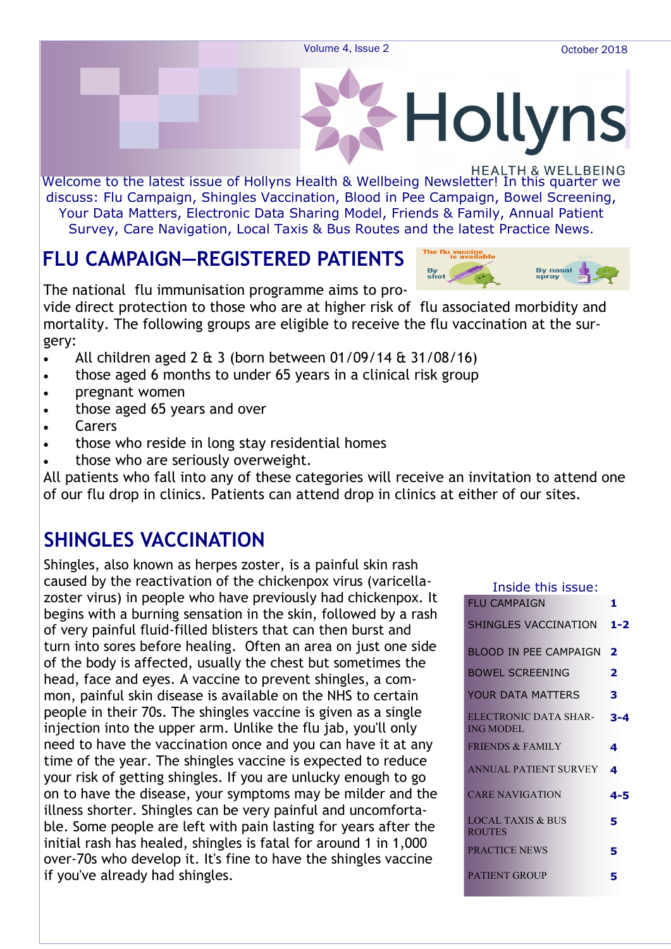

Welcome to the latest issue of Hollyns Health & Wellbeing Newsletter! In this quarter we discuss: Flu Campaign, Shingles Vaccination, Blood in Pee Campaign, Bowel Screening, Your Data Matters, Electronic Data Sharing Model, Friends & Family, Annual Patient Survey, Care Navigation, Local Taxis & Bus Routes and the latest Practice News.

### **FLU CAMPAIGN—REGISTERED PATIENTS**



The national flu immunisation programme aims to pro-

vide direct protection to those who are at higher risk of flu associated morbidity and mortality. The following groups are eligible to receive the flu vaccination at the surgery:

- All children aged  $2 \& 3$  (born between 01/09/14  $\& 31/08/16$ )
- those aged 6 months to under 65 years in a clinical risk group
- **pregnant women**
- those aged 65 years and over
- Carers
- those who reside in long stay residential homes
- those who are seriously overweight.

All patients who fall into any of these categories will receive an invitation to attend one of our flu drop in clinics. Patients can attend drop in clinics at either of our sites.

### **SHINGLES VACCINATION**

Shingles, also known as herpes zoster, is a painful skin rash caused by the reactivation of the chickenpox virus (varicellazoster virus) in people who have previously had chickenpox. It begins with a burning sensation in the skin, followed by a rash of very painful fluid-filled blisters that can then burst and turn into sores before healing. Often an area on just one side of the body is affected, usually the chest but sometimes the head, face and eyes. A vaccine to prevent shingles, a common, painful skin disease is available on the NHS to certain people in their 70s. The shingles vaccine is given as a single injection into the upper arm. Unlike the flu jab, you'll only need to have the vaccination once and you can have it at any time of the year. The shingles vaccine is expected to reduce your risk of getting shingles. If you are unlucky enough to go on to have the disease, your symptoms may be milder and the illness shorter. Shingles can be very painful and uncomfortable. Some people are left with pain lasting for years after the initial rash has healed, shingles is fatal for around 1 in 1,000 over-70s who develop it. It's fine to have the shingles vaccine if you've already had shingles.

| Inside this issue: |                                               |                         |
|--------------------|-----------------------------------------------|-------------------------|
|                    | <b>FLU CAMPAIGN</b>                           | 1.                      |
|                    | SHINGLES VACCINATION                          | 1-2                     |
|                    | BLOOD IN PEE CAMPAIGN                         | $\overline{\mathbf{2}}$ |
|                    | <b>BOWEL SCREENING</b>                        | 2                       |
|                    | YOUR DATA MATTERS                             | 3                       |
|                    | ELECTRONIC DATA SHAR-<br><b>ING MODEL</b>     | $3 - 4$                 |
|                    | <b>FRIENDS &amp; FAMILY</b>                   | 4                       |
|                    | ANNUAL PATIENT SURVEY                         | $\mathbf{A}$            |
|                    | <b>CARE NAVIGATION</b>                        | 4-5                     |
|                    | <b>LOCAL TAXIS &amp; BUS</b><br><b>ROUTES</b> | 5                       |
|                    | <b>PRACTICE NEWS</b>                          | 5                       |
|                    | <b>PATIENT GROUP</b>                          | 5                       |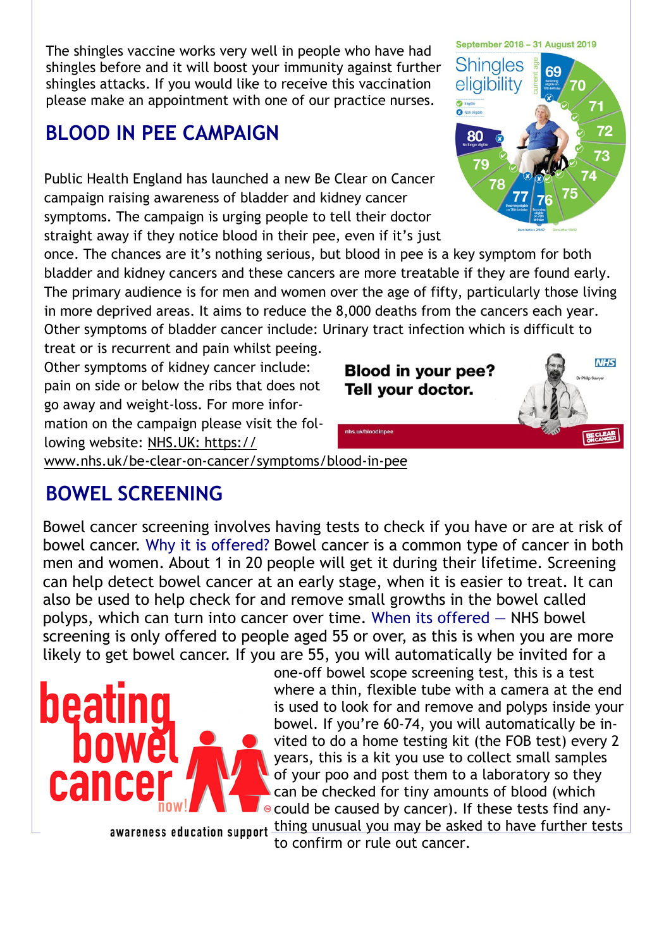The shingles vaccine works very well in people who have had shingles before and it will boost your immunity against further shingles attacks. If you would like to receive this vaccination please make an appointment with one of our practice nurses.

### **BLOOD IN PEE CAMPAIGN**

Public Health England has launched a new Be Clear on Cancer campaign raising awareness of bladder and kidney cancer symptoms. The campaign is urging people to tell their doctor straight away if they notice blood in their pee, even if it's just

once. The chances are it's nothing serious, but blood in pee is a key symptom for both bladder and kidney cancers and these cancers are more treatable if they are found early. The primary audience is for men and women over the age of fifty, particularly those living in more deprived areas. It aims to reduce the 8,000 deaths from the cancers each year. Other symptoms of bladder cancer include: Urinary tract infection which is difficult to

treat or is recurrent and pain whilst peeing. Other symptoms of kidney cancer include: pain on side or below the ribs that does not go away and weight-loss. For more information on the campaign please visit the following website: NHS.UK: https://

www.nhs.uk/be-clear-on-cancer/symptoms/blood-in-pee

### **BOWEL SCREENING**

Bowel cancer screening involves having tests to check if you have or are at risk of bowel cancer. Why it is offered? Bowel cancer is a common type of cancer in both men and women. About 1 in 20 people will get it during their lifetime. Screening can help detect bowel cancer at an early stage, when it is easier to treat. It can also be used to help check for and remove small growths in the bowel called polyps, which can turn into cancer over time. When its offered — NHS bowel screening is only offered to people aged 55 or over, as this is when you are more likely to get bowel cancer. If you are 55, you will automatically be invited for a



one-off bowel scope screening test, this is a test where a thin, flexible tube with a camera at the end is used to look for and remove and polyps inside your bowel. If you're 60-74, you will automatically be invited to do a home testing kit (the FOB test) every 2 years, this is a kit you use to collect small samples of your poo and post them to a laboratory so they can be checked for tiny amounts of blood (which could be caused by cancer). If these tests find any-

awareness education support thing unusual you may be asked to have further tests to confirm or rule out cancer.



**Blood in your pee?** Tell your doctor.

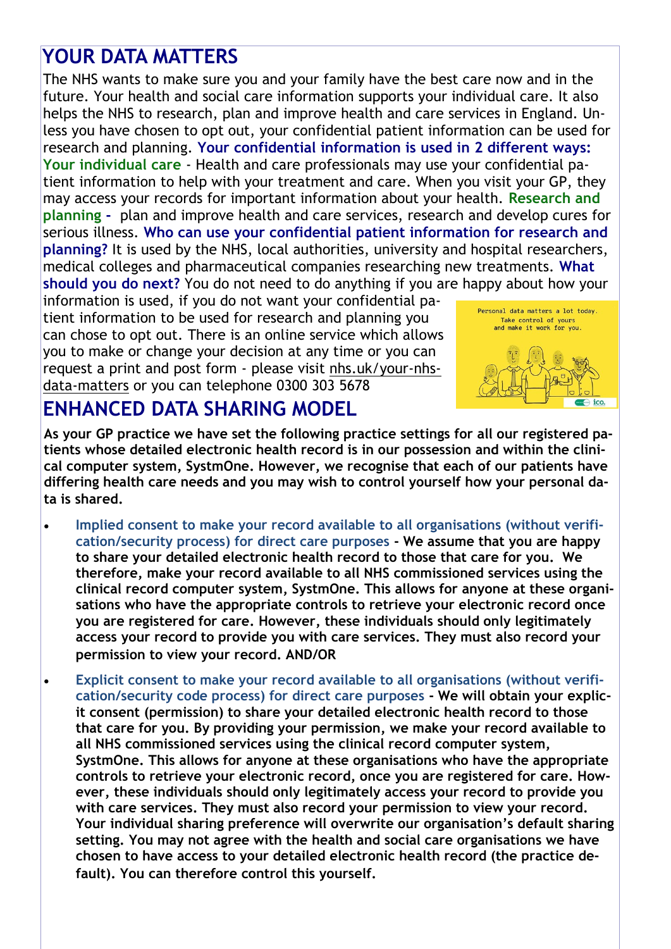## **YOUR DATA MATTERS**

The NHS wants to make sure you and your family have the best care now and in the future. Your health and social care information supports your individual care. It also helps the NHS to research, plan and improve health and care services in England. Unless you have chosen to opt out, your confidential patient information can be used for research and planning. **Your confidential information is used in 2 different ways: Your individual care** - Health and care professionals may use your confidential patient information to help with your treatment and care. When you visit your GP, they may access your records for important information about your health. **Research and planning -** plan and improve health and care services, research and develop cures for serious illness. **Who can use your confidential patient information for research and planning?** It is used by the NHS, local authorities, university and hospital researchers, medical colleges and pharmaceutical companies researching new treatments. **What should you do next?** You do not need to do anything if you are happy about how your

information is used, if you do not want your confidential patient information to be used for research and planning you can chose to opt out. There is an online service which allows you to make or change your decision at any time or you can request a print and post form - please visit nhs.uk/your-nhsdata-matters or you can telephone 0300 303 5678



### **ENHANCED DATA SHARING MODEL**

**As your GP practice we have set the following practice settings for all our registered patients whose detailed electronic health record is in our possession and within the clinical computer system, SystmOne. However, we recognise that each of our patients have differing health care needs and you may wish to control yourself how your personal data is shared.** 

- **Implied consent to make your record available to all organisations (without verification/security process) for direct care purposes - We assume that you are happy to share your detailed electronic health record to those that care for you. We therefore, make your record available to all NHS commissioned services using the clinical record computer system, SystmOne. This allows for anyone at these organisations who have the appropriate controls to retrieve your electronic record once you are registered for care. However, these individuals should only legitimately access your record to provide you with care services. They must also record your permission to view your record. AND/OR**
- **Explicit consent to make your record available to all organisations (without verification/security code process) for direct care purposes - We will obtain your explicit consent (permission) to share your detailed electronic health record to those that care for you. By providing your permission, we make your record available to all NHS commissioned services using the clinical record computer system, SystmOne. This allows for anyone at these organisations who have the appropriate controls to retrieve your electronic record, once you are registered for care. However, these individuals should only legitimately access your record to provide you with care services. They must also record your permission to view your record. Your individual sharing preference will overwrite our organisation's default sharing setting. You may not agree with the health and social care organisations we have chosen to have access to your detailed electronic health record (the practice default). You can therefore control this yourself.**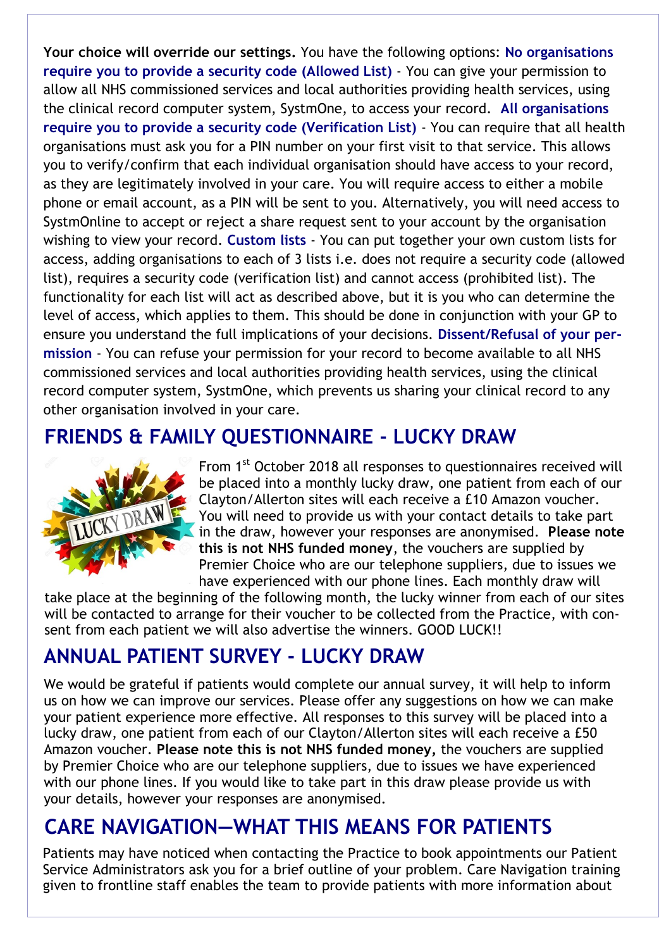**Your choice will override our settings.** You have the following options: **No organisations require you to provide a security code (Allowed List)** - You can give your permission to allow all NHS commissioned services and local authorities providing health services, using the clinical record computer system, SystmOne, to access your record. **All organisations require you to provide a security code (Verification List)** - You can require that all health organisations must ask you for a PIN number on your first visit to that service. This allows you to verify/confirm that each individual organisation should have access to your record, as they are legitimately involved in your care. You will require access to either a mobile phone or email account, as a PIN will be sent to you. Alternatively, you will need access to SystmOnline to accept or reject a share request sent to your account by the organisation wishing to view your record. **Custom lists** - You can put together your own custom lists for access, adding organisations to each of 3 lists i.e. does not require a security code (allowed list), requires a security code (verification list) and cannot access (prohibited list). The functionality for each list will act as described above, but it is you who can determine the level of access, which applies to them. This should be done in conjunction with your GP to ensure you understand the full implications of your decisions. **Dissent/Refusal of your permission** - You can refuse your permission for your record to become available to all NHS commissioned services and local authorities providing health services, using the clinical record computer system, SystmOne, which prevents us sharing your clinical record to any other organisation involved in your care.

### **FRIENDS & FAMILY QUESTIONNAIRE - LUCKY DRAW**



From 1<sup>st</sup> October 2018 all responses to questionnaires received will be placed into a monthly lucky draw, one patient from each of our Clayton/Allerton sites will each receive a £10 Amazon voucher. You will need to provide us with your contact details to take part in the draw, however your responses are anonymised. **Please note this is not NHS funded money**, the vouchers are supplied by Premier Choice who are our telephone suppliers, due to issues we have experienced with our phone lines. Each monthly draw will

take place at the beginning of the following month, the lucky winner from each of our sites will be contacted to arrange for their voucher to be collected from the Practice, with consent from each patient we will also advertise the winners. GOOD LUCK!!

## **ANNUAL PATIENT SURVEY - LUCKY DRAW**

We would be grateful if patients would complete our annual survey, it will help to inform us on how we can improve our services. Please offer any suggestions on how we can make your patient experience more effective. All responses to this survey will be placed into a lucky draw, one patient from each of our Clayton/Allerton sites will each receive a £50 Amazon voucher. **Please note this is not NHS funded money,** the vouchers are supplied by Premier Choice who are our telephone suppliers, due to issues we have experienced with our phone lines. If you would like to take part in this draw please provide us with your details, however your responses are anonymised.

## **CARE NAVIGATION—WHAT THIS MEANS FOR PATIENTS**

Patients may have noticed when contacting the Practice to book appointments our Patient Service Administrators ask you for a brief outline of your problem. Care Navigation training given to frontline staff enables the team to provide patients with more information about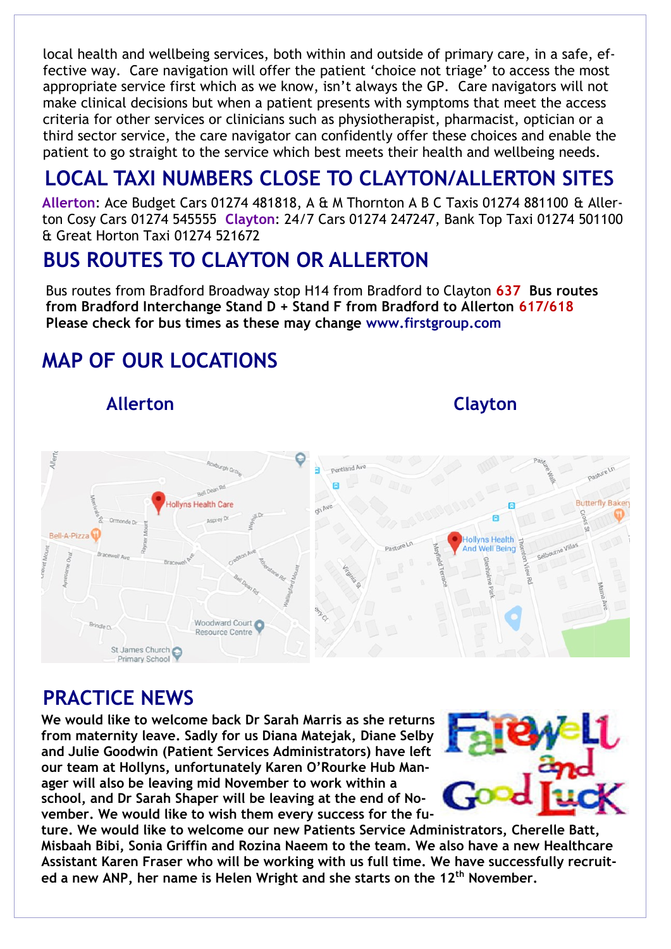local health and wellbeing services, both within and outside of primary care, in a safe, effective way. Care navigation will offer the patient 'choice not triage' to access the most appropriate service first which as we know, isn't always the GP. Care navigators will not make clinical decisions but when a patient presents with symptoms that meet the access criteria for other services or clinicians such as physiotherapist, pharmacist, optician or a third sector service, the care navigator can confidently offer these choices and enable the patient to go straight to the service which best meets their health and wellbeing needs.

# **LOCAL TAXI NUMBERS CLOSE TO CLAYTON/ALLERTON SITES**

**Allerton**: Ace Budget Cars 01274 481818, A & M Thornton A B C Taxis 01274 881100 & Allerton Cosy Cars 01274 545555 **Clayton**: 24/7 Cars 01274 247247, Bank Top Taxi 01274 501100 & Great Horton Taxi 01274 521672

### **BUS ROUTES TO CLAYTON OR ALLERTON**

Bus routes from Bradford Broadway stop H14 from Bradford to Clayton **637 Bus routes from Bradford Interchange Stand D + Stand F from Bradford to Allerton 617/618 Please check for bus times as these may change www.firstgroup.com**

# **MAP OF OUR LOCATIONS**

 **Allerton Clayton**



### **PRACTICE NEWS**

**We would like to welcome back Dr Sarah Marris as she returns from maternity leave. Sadly for us Diana Matejak, Diane Selby and Julie Goodwin (Patient Services Administrators) have left our team at Hollyns, unfortunately Karen O'Rourke Hub Manager will also be leaving mid November to work within a school, and Dr Sarah Shaper will be leaving at the end of November. We would like to wish them every success for the fu-**



**ture. We would like to welcome our new Patients Service Administrators, Cherelle Batt, Misbaah Bibi, Sonia Griffin and Rozina Naeem to the team. We also have a new Healthcare Assistant Karen Fraser who will be working with us full time. We have successfully recruited a new ANP, her name is Helen Wright and she starts on the 12th November.**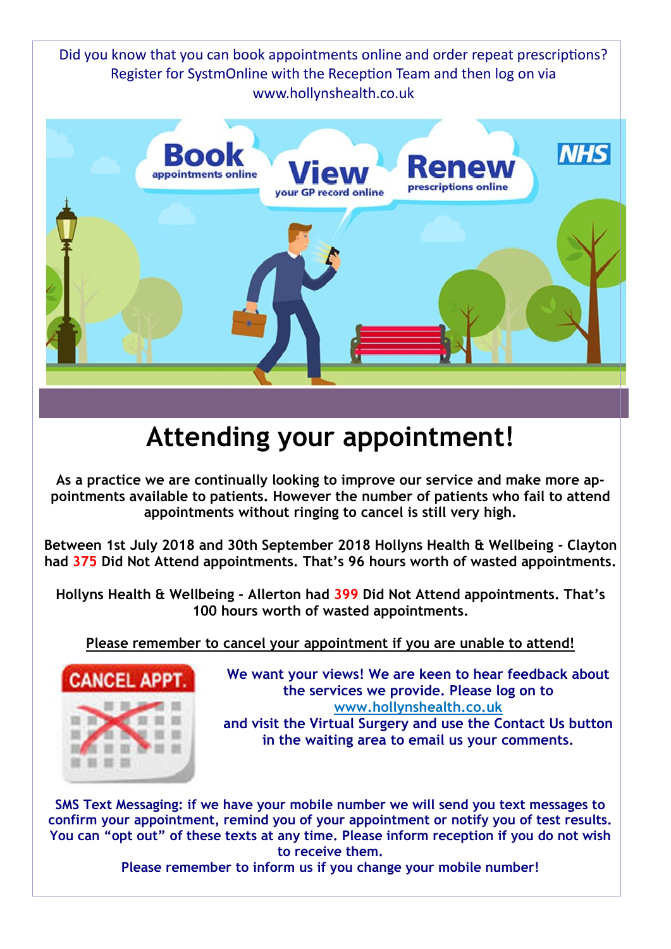Did you know that you can book appointments online and order repeat prescriptions? Register for SystmOnline with the Reception Team and then log on via www.hollynshealth.co.uk



# **Attending your appointment!**

**As a practice we are continually looking to improve our service and make more appointments available to patients. However the number of patients who fail to attend appointments without ringing to cancel is still very high.** 

**Between 1st July 2018 and 30th September 2018 Hollyns Health & Wellbeing - Clayton had 375 Did Not Attend appointments. That's 96 hours worth of wasted appointments.** 

**Hollyns Health & Wellbeing - Allerton had 399 Did Not Attend appointments. That's 100 hours worth of wasted appointments.** 

**Please remember to cancel your appointment if you are unable to attend!**



**We want your views! We are keen to hear feedback about the services we provide. Please log on to www.hollynshealth.co.uk and visit the Virtual Surgery and use the Contact Us button in the waiting area to email us your comments.** 

**SMS Text Messaging: if we have your mobile number we will send you text messages to confirm your appointment, remind you of your appointment or notify you of test results. You can "opt out" of these texts at any time. Please inform reception if you do not wish to receive them.** 

**Please remember to inform us if you change your mobile number!**